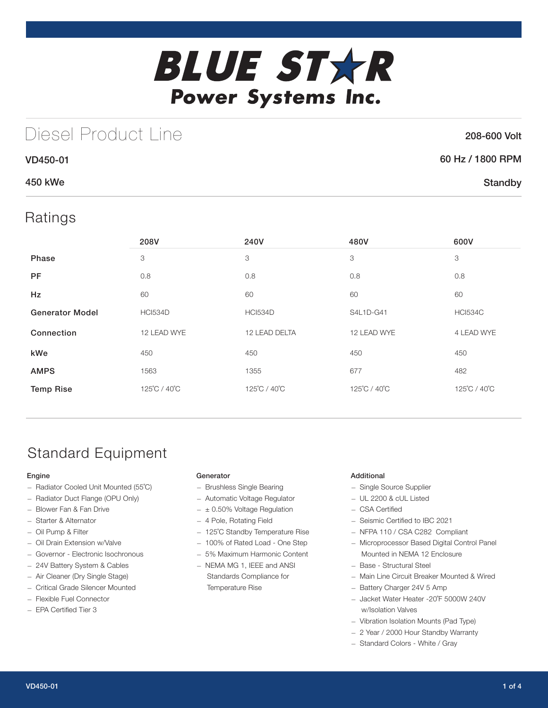

# Diesel Product Line

## 208-600 Volt

| <b>VD450-01</b> | 60 Hz / 1800 RPM |
|-----------------|------------------|
| 450 kWe         | Standby          |

## Ratings

|                        | 208V           | 240V           | 480V         | 600V           |
|------------------------|----------------|----------------|--------------|----------------|
| Phase                  | 3              | 3              | 3            | 3              |
| <b>PF</b>              | 0.8            | 0.8            | 0.8          | 0.8            |
| <b>Hz</b>              | 60             | 60             | 60           | 60             |
| <b>Generator Model</b> | <b>HCI534D</b> | <b>HCI534D</b> | S4L1D-G41    | <b>HCI534C</b> |
| Connection             | 12 LEAD WYE    | 12 LEAD DELTA  | 12 LEAD WYE  | 4 LEAD WYE     |
| kWe                    | 450            | 450            | 450          | 450            |
| <b>AMPS</b>            | 1563           | 1355           | 677          | 482            |
| <b>Temp Rise</b>       | 125°C / 40°C   | 125°C / 40°C   | 125°C / 40°C | 125°C / 40°C   |

## Standard Equipment

### Engine

- Radiator Cooled Unit Mounted (55˚C)
- Radiator Duct Flange (OPU Only)
- Blower Fan & Fan Drive
- Starter & Alternator
- Oil Pump & Filter
- Oil Drain Extension w/Valve
- Governor Electronic Isochronous
- 24V Battery System & Cables
- Air Cleaner (Dry Single Stage)
- Critical Grade Silencer Mounted
- Flexible Fuel Connector
- EPA Certified Tier 3

### **Generator**

- Brushless Single Bearing
- Automatic Voltage Regulator
- $\pm$  0.50% Voltage Regulation
- 4 Pole, Rotating Field
- 125˚C Standby Temperature Rise
- 100% of Rated Load One Step
- 5% Maximum Harmonic Content
- NEMA MG 1, IEEE and ANSI Standards Compliance for Temperature Rise

### Additional

- Single Source Supplier
- UL 2200 & cUL Listed
- CSA Certified
- Seismic Certified to IBC 2021
- NFPA 110 / CSA C282 Compliant
- Microprocessor Based Digital Control Panel Mounted in NEMA 12 Enclosure
- Base Structural Steel
- Main Line Circuit Breaker Mounted & Wired
- Battery Charger 24V 5 Amp
- Jacket Water Heater -20˚F 5000W 240V w/Isolation Valves
- Vibration Isolation Mounts (Pad Type)
- 2 Year / 2000 Hour Standby Warranty
- Standard Colors White / Gray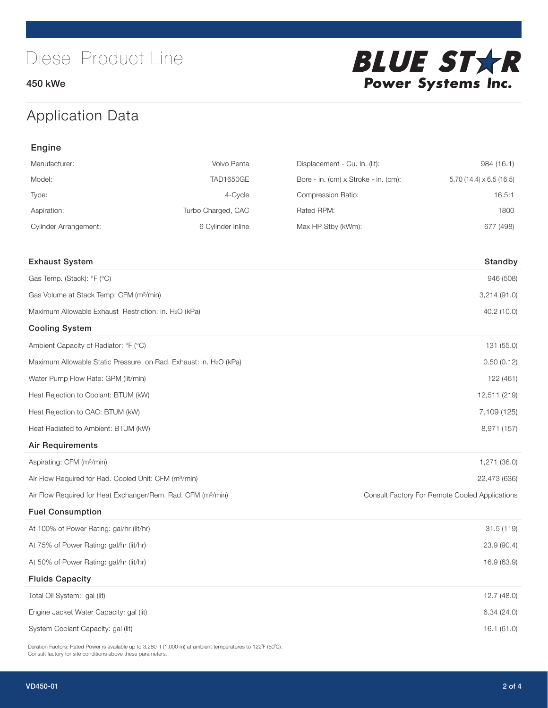450 kWe



## Application Data

| Engine                                                                   |                    |                                      |                                                |
|--------------------------------------------------------------------------|--------------------|--------------------------------------|------------------------------------------------|
| Manufacturer:                                                            | Volvo Penta        | Displacement - Cu. In. (lit):        | 984 (16.1)                                     |
| Model:                                                                   | <b>TAD1650GE</b>   | Bore - in. (cm) x Stroke - in. (cm): | 5.70 $(14.4) \times 6.5$ $(16.5)$              |
| Type:                                                                    | 4-Cycle            | Compression Ratio:                   | 16.5:1                                         |
| Aspiration:                                                              | Turbo Charged, CAC | Rated RPM:                           | 1800                                           |
| <b>Cylinder Arrangement:</b>                                             | 6 Cylinder Inline  | Max HP Stby (kWm):                   | 677 (498)                                      |
| <b>Exhaust System</b>                                                    |                    |                                      | Standby                                        |
| Gas Temp. (Stack): °F (°C)                                               |                    |                                      | 946 (508)                                      |
| Gas Volume at Stack Temp: CFM (m <sup>3</sup> /min)                      |                    |                                      | 3,214(91.0)                                    |
| Maximum Allowable Exhaust Restriction: in. H2O (kPa)                     |                    |                                      | 40.2 (10.0)                                    |
| <b>Cooling System</b>                                                    |                    |                                      |                                                |
| Ambient Capacity of Radiator: °F (°C)                                    |                    |                                      | 131 (55.0)                                     |
| Maximum Allowable Static Pressure on Rad. Exhaust: in. H2O (kPa)         |                    |                                      | 0.50(0.12)                                     |
| Water Pump Flow Rate: GPM (lit/min)                                      |                    |                                      | 122 (461)                                      |
| Heat Rejection to Coolant: BTUM (kW)                                     |                    |                                      | 12,511 (219)                                   |
| Heat Rejection to CAC: BTUM (kW)                                         |                    |                                      | 7,109 (125)                                    |
| Heat Radiated to Ambient: BTUM (kW)                                      |                    |                                      | 8,971 (157)                                    |
| <b>Air Requirements</b>                                                  |                    |                                      |                                                |
| Aspirating: CFM (m <sup>3</sup> /min)                                    |                    |                                      | 1,271 (36.0)                                   |
| Air Flow Required for Rad. Cooled Unit: CFM (m <sup>3</sup> /min)        |                    |                                      | 22,473 (636)                                   |
| Air Flow Required for Heat Exchanger/Rem. Rad. CFM (m <sup>3</sup> /min) |                    |                                      | Consult Factory For Remote Cooled Applications |
| <b>Fuel Consumption</b>                                                  |                    |                                      |                                                |
| At 100% of Power Rating: gal/hr (lit/hr)                                 |                    |                                      | 31.5(119)                                      |
| At 75% of Power Rating: gal/hr (lit/hr)                                  |                    |                                      | 23.9 (90.4)                                    |
| At 50% of Power Rating: gal/hr (lit/hr)                                  |                    |                                      | 16.9 (63.9)                                    |
| <b>Fluids Capacity</b>                                                   |                    |                                      |                                                |
| Total Oil System: gal (lit)                                              |                    |                                      | 12.7(48.0)                                     |
| Engine Jacket Water Capacity: gal (lit)                                  |                    |                                      | 6.34(24.0)                                     |
| System Coolant Capacity: gal (lit)                                       |                    |                                      | 16.1 (61.0)                                    |

Deration Factors: Rated Power is available up to 3,280 ft (1,000 m) at ambient temperatures to 122˚F (50˚C). Consult factory for site conditions above these parameters.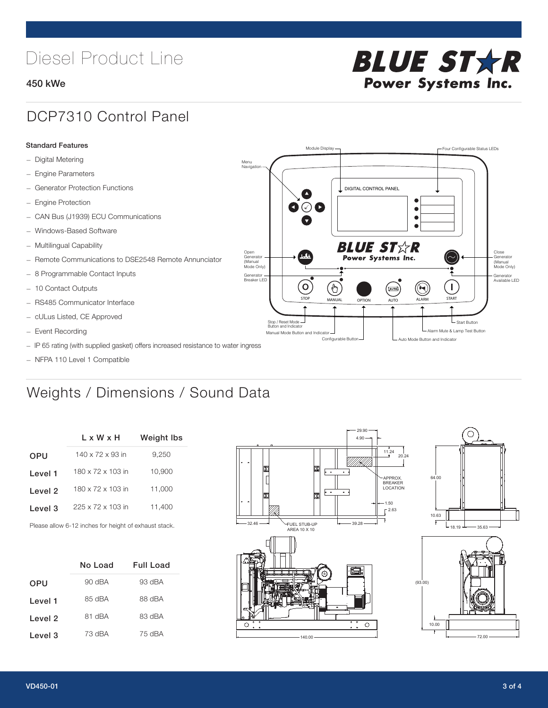# Diesel Product Line

### 450 kWe



STOP MANUAL OPTION AUTO ALARM START

[AUTO]

**BLUE STAR** Power Systems Inc.

Manual Mode Button and Indicator United States and Indicator United States and Indicator United States and Indicator United States and Indicator United States and Indicator United States and Indicator United States and Ind Configurable Button -  $\Box$  Auto Mode Button and Indicator

DIGITAL CONTROL PANEL

Module Display  $\Box$ 

 $\bullet$  $\bullet$  $\bullet$ 

 $\circledcirc$ 

Menu Navigation

Open Generator (Manual Mode Only)

Generator Breaker LED

Stop / Reset Mode Button and Indicator

 $\bullet$  $\overline{\bullet}$ 

 $\sigma$ 

 $\overline{\mathcal{A}}$ 

## DCP7310 Control Panel

#### Standard Features

- Digital Metering
- Engine Parameters
- Generator Protection Functions
- Engine Protection
- CAN Bus (J1939) ECU Communications
- Windows-Based Software
- Multilingual Capability
- Remote Communications to DSE2548 Remote Annunciator
- 8 Programmable Contact Inputs
- 10 Contact Outputs
- RS485 Communicator Interface
- cULus Listed, CE Approved
- Event Recording
- IP 65 rating (with supplied gasket) offers increased resistance to water ingress
- NFPA 110 Level 1 Compatible

## Weights / Dimensions / Sound Data

|            | $L \times W \times H$         | <b>Weight Ibs</b> |
|------------|-------------------------------|-------------------|
| <b>OPU</b> | 140 x 72 x 93 in              | 9,250             |
| Level 1    | 180 x 72 x 103 in             | 10,900            |
| Level 2    | 180 x 72 x 103 in             | 11,000            |
| Level 3    | $225 \times 72 \times 103$ in | 11,400            |
|            |                               |                   |

Please allow 6-12 inches for height of exhaust stack.

|         | No Load  | Full Load |
|---------|----------|-----------|
| OPU     | $90$ dBA | $93$ dBA  |
| Level 1 | 85 dBA   | 88 dBA    |
| Level 2 | 81 dBA   | 83 dBA    |
| Level 3 | 73 dBA   | 75 dBA    |





L Start Button

 $\blacksquare$ 

Close Generator (Manual Mode Only)

Generator Available LED